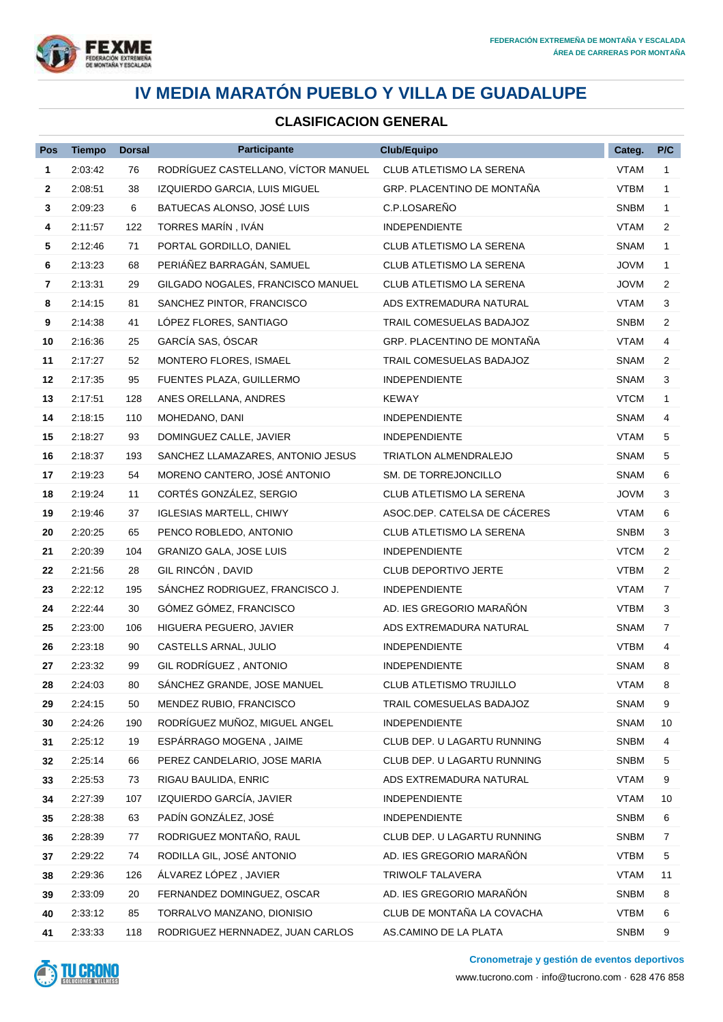

#### **CLASIFICACION GENERAL**

| Pos | <b>Tiempo</b> | <b>Dorsal</b> | <b>Participante</b>                 | <b>Club/Equipo</b>           | Categ.      | P/C            |
|-----|---------------|---------------|-------------------------------------|------------------------------|-------------|----------------|
| 1   | 2:03:42       | 76            | RODRÍGUEZ CASTELLANO, VÍCTOR MANUEL | CLUB ATLETISMO LA SERENA     | <b>VTAM</b> | $\mathbf{1}$   |
| 2   | 2:08:51       | 38            | IZQUIERDO GARCIA, LUIS MIGUEL       | GRP. PLACENTINO DE MONTAÑA   | <b>VTBM</b> | $\mathbf{1}$   |
| 3   | 2:09:23       | 6             | BATUECAS ALONSO, JOSÉ LUIS          | C.P.LOSAREÑO                 | <b>SNBM</b> | $\mathbf 1$    |
| 4   | 2:11:57       | 122           | TORRES MARÍN, IVÁN                  | <b>INDEPENDIENTE</b>         | VTAM        | 2              |
| 5   | 2:12:46       | 71            | PORTAL GORDILLO, DANIEL             | CLUB ATLETISMO LA SERENA     | <b>SNAM</b> | 1              |
| 6   | 2:13:23       | 68            | PERIÁÑEZ BARRAGÁN, SAMUEL           | CLUB ATLETISMO LA SERENA     | <b>JOVM</b> | $\mathbf 1$    |
| 7   | 2:13:31       | 29            | GILGADO NOGALES, FRANCISCO MANUEL   | CLUB ATLETISMO LA SERENA     | <b>JOVM</b> | 2              |
| 8   | 2:14:15       | 81            | SANCHEZ PINTOR, FRANCISCO           | ADS EXTREMADURA NATURAL      | VTAM        | 3              |
| 9   | 2:14:38       | 41            | LÓPEZ FLORES, SANTIAGO              | TRAIL COMESUELAS BADAJOZ     | <b>SNBM</b> | $\overline{2}$ |
| 10  | 2:16:36       | 25            | GARCÍA SAS, ÓSCAR                   | GRP. PLACENTINO DE MONTAÑA   | <b>VTAM</b> | 4              |
| 11  | 2:17:27       | 52            | MONTERO FLORES, ISMAEL              | TRAIL COMESUELAS BADAJOZ     | <b>SNAM</b> | $\overline{2}$ |
| 12  | 2:17:35       | 95            | FUENTES PLAZA, GUILLERMO            | <b>INDEPENDIENTE</b>         | <b>SNAM</b> | 3              |
| 13  | 2:17:51       | 128           | ANES ORELLANA, ANDRES               | <b>KEWAY</b>                 | <b>VTCM</b> | $\mathbf{1}$   |
| 14  | 2:18:15       | 110           | MOHEDANO, DANI                      | <b>INDEPENDIENTE</b>         | <b>SNAM</b> | 4              |
| 15  | 2:18:27       | 93            | DOMINGUEZ CALLE, JAVIER             | <b>INDEPENDIENTE</b>         | <b>VTAM</b> | 5              |
| 16  | 2:18:37       | 193           | SANCHEZ LLAMAZARES, ANTONIO JESUS   | TRIATLON ALMENDRALEJO        | <b>SNAM</b> | 5              |
| 17  | 2:19:23       | 54            | MORENO CANTERO, JOSÉ ANTONIO        | SM. DE TORREJONCILLO         | <b>SNAM</b> | 6              |
| 18  | 2:19:24       | 11            | CORTÉS GONZÁLEZ, SERGIO             | CLUB ATLETISMO LA SERENA     | <b>JOVM</b> | 3              |
| 19  | 2:19:46       | 37            | <b>IGLESIAS MARTELL, CHIWY</b>      | ASOC.DEP. CATELSA DE CÁCERES | <b>VTAM</b> | 6              |
| 20  | 2:20:25       | 65            | PENCO ROBLEDO, ANTONIO              | CLUB ATLETISMO LA SERENA     | <b>SNBM</b> | 3              |
| 21  | 2:20:39       | 104           | <b>GRANIZO GALA, JOSE LUIS</b>      | <b>INDEPENDIENTE</b>         | <b>VTCM</b> | $\overline{2}$ |
| 22  | 2:21:56       | 28            | GIL RINCÓN, DAVID                   | <b>CLUB DEPORTIVO JERTE</b>  | <b>VTBM</b> | 2              |
| 23  | 2:22:12       | 195           | SÁNCHEZ RODRIGUEZ, FRANCISCO J.     | <b>INDEPENDIENTE</b>         | VTAM        | $\overline{7}$ |
| 24  | 2:22:44       | 30            | GÓMEZ GÓMEZ, FRANCISCO              | AD. IES GREGORIO MARAÑÓN     | VTBM        | 3              |
| 25  | 2:23:00       | 106           | HIGUERA PEGUERO, JAVIER             | ADS EXTREMADURA NATURAL      | <b>SNAM</b> | 7              |
| 26  | 2:23:18       | 90            | CASTELLS ARNAL, JULIO               | <b>INDEPENDIENTE</b>         | <b>VTBM</b> | 4              |
| 27  | 2:23:32       | 99            | GIL RODRÍGUEZ, ANTONIO              | <b>INDEPENDIENTE</b>         | <b>SNAM</b> | 8              |
| 28  | 2:24:03       | 80            | SÁNCHEZ GRANDE, JOSE MANUEL         | CLUB ATLETISMO TRUJILLO      | VTAM        | 8              |
| 29  | 2:24:15       | 50            | MENDEZ RUBIO, FRANCISCO             | TRAIL COMESUELAS BADAJOZ     | SNAM        | 9              |
| 30  | 2:24:26       | 190           | RODRÍGUEZ MUÑOZ, MIGUEL ANGEL       | <b>INDEPENDIENTE</b>         | SNAM        | 10             |
| 31  | 2:25:12       | 19            | ESPÁRRAGO MOGENA, JAIME             | CLUB DEP. U LAGARTU RUNNING  | <b>SNBM</b> | 4              |
| 32  | 2:25:14       | 66            | PEREZ CANDELARIO, JOSE MARIA        | CLUB DEP. U LAGARTU RUNNING  | SNBM        | 5              |
| 33  | 2:25:53       | 73            | RIGAU BAULIDA, ENRIC                | ADS EXTREMADURA NATURAL      | <b>VTAM</b> | 9              |
| 34  | 2:27:39       | 107           | IZQUIERDO GARCÍA, JAVIER            | <b>INDEPENDIENTE</b>         | <b>VTAM</b> | 10             |
| 35  | 2:28:38       | 63            | PADÍN GONZÁLEZ, JOSÉ                | <b>INDEPENDIENTE</b>         | <b>SNBM</b> | 6              |
| 36  | 2:28:39       | 77            | RODRIGUEZ MONTAÑO, RAUL             | CLUB DEP. U LAGARTU RUNNING  | SNBM        | 7              |
| 37  | 2:29:22       | 74            | RODILLA GIL, JOSÉ ANTONIO           | AD. IES GREGORIO MARAÑÓN     | <b>VTBM</b> | 5              |
| 38  | 2:29:36       | 126           | ÁLVAREZ LÓPEZ, JAVIER               | TRIWOLF TALAVERA             | <b>VTAM</b> | 11             |
| 39  | 2:33:09       | 20            | FERNANDEZ DOMINGUEZ, OSCAR          | AD. IES GREGORIO MARAÑÓN     | <b>SNBM</b> | 8              |
| 40  | 2:33:12       | 85            | TORRALVO MANZANO, DIONISIO          | CLUB DE MONTAÑA LA COVACHA   | <b>VTBM</b> | 6              |
| 41  | 2:33:33       | 118           | RODRIGUEZ HERNNADEZ, JUAN CARLOS    | AS.CAMINO DE LA PLATA        | SNBM        | 9              |



**Cronometraje y gestión de eventos deportivos**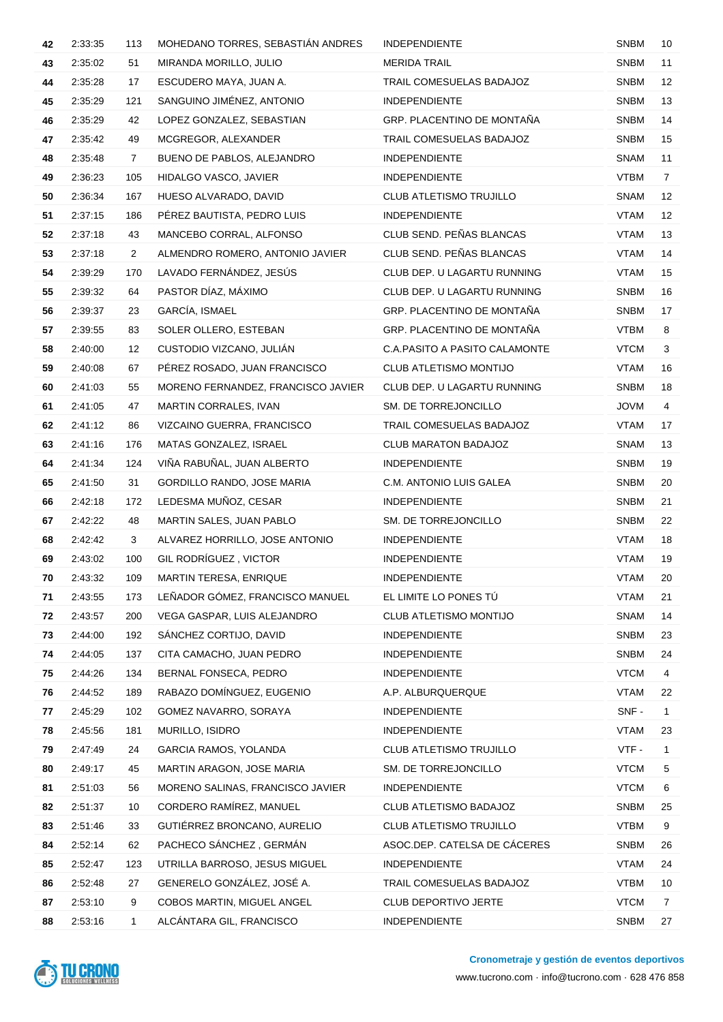| 42 | 2:33:35 | 113            | MOHEDANO TORRES, SEBASTIÁN ANDRES  | <b>INDEPENDIENTE</b>           | <b>SNBM</b> | 10                |
|----|---------|----------------|------------------------------------|--------------------------------|-------------|-------------------|
| 43 | 2:35:02 | 51             | MIRANDA MORILLO, JULIO             | <b>MERIDA TRAIL</b>            | <b>SNBM</b> | 11                |
| 44 | 2:35:28 | 17             | ESCUDERO MAYA, JUAN A.             | TRAIL COMESUELAS BADAJOZ       | <b>SNBM</b> | $12 \overline{ }$ |
| 45 | 2:35:29 | 121            | SANGUINO JIMÉNEZ, ANTONIO          | <b>INDEPENDIENTE</b>           | <b>SNBM</b> | 13                |
| 46 | 2:35:29 | 42             | LOPEZ GONZALEZ, SEBASTIAN          | GRP. PLACENTINO DE MONTAÑA     | <b>SNBM</b> | 14                |
| 47 | 2:35:42 | 49             | MCGREGOR, ALEXANDER                | TRAIL COMESUELAS BADAJOZ       | <b>SNBM</b> | 15                |
| 48 | 2:35:48 | $\mathbf{7}$   | BUENO DE PABLOS, ALEJANDRO         | <b>INDEPENDIENTE</b>           | <b>SNAM</b> | 11                |
| 49 | 2:36:23 | 105            | HIDALGO VASCO, JAVIER              | <b>INDEPENDIENTE</b>           | <b>VTBM</b> | $\overline{7}$    |
| 50 | 2:36:34 | 167            | HUESO ALVARADO, DAVID              | <b>CLUB ATLETISMO TRUJILLO</b> | <b>SNAM</b> | $12 \overline{ }$ |
| 51 | 2:37:15 | 186            | PÉREZ BAUTISTA, PEDRO LUIS         | <b>INDEPENDIENTE</b>           | <b>VTAM</b> | $12 \overline{ }$ |
| 52 | 2:37:18 | 43             | MANCEBO CORRAL, ALFONSO            | CLUB SEND. PEÑAS BLANCAS       | VTAM        | 13                |
| 53 | 2:37:18 | $\overline{2}$ | ALMENDRO ROMERO, ANTONIO JAVIER    | CLUB SEND. PEÑAS BLANCAS       | VTAM        | 14                |
| 54 | 2:39:29 | 170            | LAVADO FERNÁNDEZ, JESÚS            | CLUB DEP. U LAGARTU RUNNING    | <b>VTAM</b> | 15                |
| 55 | 2:39:32 | 64             | PASTOR DÍAZ, MÁXIMO                | CLUB DEP. U LAGARTU RUNNING    | <b>SNBM</b> | 16                |
| 56 | 2:39:37 | 23             | GARCÍA, ISMAEL                     | GRP. PLACENTINO DE MONTAÑA     | <b>SNBM</b> | 17                |
| 57 | 2:39:55 | 83             | SOLER OLLERO, ESTEBAN              | GRP. PLACENTINO DE MONTAÑA     | <b>VTBM</b> | 8                 |
| 58 | 2:40:00 | 12             | CUSTODIO VIZCANO, JULIÁN           | C.A.PASITO A PASITO CALAMONTE  | <b>VTCM</b> | 3                 |
| 59 | 2:40:08 | 67             | PÉREZ ROSADO, JUAN FRANCISCO       | CLUB ATLETISMO MONTIJO         | VTAM        | 16                |
| 60 | 2:41:03 | 55             | MORENO FERNANDEZ, FRANCISCO JAVIER | CLUB DEP. U LAGARTU RUNNING    | <b>SNBM</b> | 18                |
| 61 | 2:41:05 | 47             | MARTIN CORRALES, IVAN              | SM. DE TORREJONCILLO           | <b>JOVM</b> | 4                 |
| 62 | 2:41:12 | 86             | VIZCAINO GUERRA, FRANCISCO         | TRAIL COMESUELAS BADAJOZ       | <b>VTAM</b> | 17                |
| 63 | 2:41:16 | 176            | MATAS GONZALEZ, ISRAEL             | CLUB MARATON BADAJOZ           | <b>SNAM</b> | 13                |
| 64 | 2:41:34 | 124            | VIÑA RABUÑAL, JUAN ALBERTO         | <b>INDEPENDIENTE</b>           | <b>SNBM</b> | 19                |
| 65 | 2:41:50 | 31             | GORDILLO RANDO, JOSE MARIA         | C.M. ANTONIO LUIS GALEA        | <b>SNBM</b> | 20                |
| 66 | 2:42:18 | 172            | LEDESMA MUÑOZ, CESAR               | <b>INDEPENDIENTE</b>           | <b>SNBM</b> | 21                |
| 67 | 2:42:22 | 48             | MARTIN SALES, JUAN PABLO           | SM. DE TORREJONCILLO           | <b>SNBM</b> | 22                |
| 68 | 2:42:42 | 3              | ALVAREZ HORRILLO, JOSE ANTONIO     | <b>INDEPENDIENTE</b>           | VTAM        | 18                |
| 69 | 2:43:02 | 100            | GIL RODRÍGUEZ, VICTOR              | <b>INDEPENDIENTE</b>           | <b>VTAM</b> | 19                |
| 70 | 2:43:32 | 109            | MARTIN TERESA, ENRIQUE             | <b>INDEPENDIENTE</b>           | VTAM        | 20                |
| 71 | 2:43:55 | 173            | LEÑADOR GÓMEZ, FRANCISCO MANUEL    | EL LIMITE LO PONES TÚ          | <b>VTAM</b> | 21                |
| 72 | 2:43:57 | 200            | VEGA GASPAR, LUIS ALEJANDRO        | CLUB ATLETISMO MONTIJO         | <b>SNAM</b> | 14                |
| 73 | 2:44:00 | 192            | SANCHEZ CORTIJO, DAVID             | <b>INDEPENDIENTE</b>           | <b>SNBM</b> | 23                |
| 74 | 2:44:05 | 137            | CITA CAMACHO, JUAN PEDRO           | <b>INDEPENDIENTE</b>           | <b>SNBM</b> | 24                |
| 75 | 2:44:26 | 134            | BERNAL FONSECA, PEDRO              | <b>INDEPENDIENTE</b>           | <b>VTCM</b> | 4                 |
| 76 | 2:44:52 | 189            | RABAZO DOMÍNGUEZ, EUGENIO          | A.P. ALBURQUERQUE              | <b>VTAM</b> | 22                |
| 77 | 2:45:29 | 102            | GOMEZ NAVARRO, SORAYA              | <b>INDEPENDIENTE</b>           | SNF-        | $\mathbf{1}$      |
| 78 | 2:45:56 | 181            | MURILLO, ISIDRO                    | <b>INDEPENDIENTE</b>           | <b>VTAM</b> | 23                |
| 79 | 2:47:49 | 24             | GARCIA RAMOS, YOLANDA              | CLUB ATLETISMO TRUJILLO        | VTF-        | $\mathbf{1}$      |
| 80 | 2:49:17 | 45             | MARTIN ARAGON, JOSE MARIA          | SM. DE TORREJONCILLO           | <b>VTCM</b> | 5                 |
| 81 | 2:51:03 | 56             | MORENO SALINAS, FRANCISCO JAVIER   | <b>INDEPENDIENTE</b>           | <b>VTCM</b> | 6                 |
| 82 | 2:51:37 | 10             | CORDERO RAMÍREZ, MANUEL            | CLUB ATLETISMO BADAJOZ         | <b>SNBM</b> | 25                |
| 83 | 2:51:46 | 33             | GUTIÉRREZ BRONCANO, AURELIO        | CLUB ATLETISMO TRUJILLO        | <b>VTBM</b> | 9                 |
| 84 | 2:52:14 | 62             | PACHECO SÁNCHEZ, GERMÁN            | ASOC.DEP. CATELSA DE CÁCERES   | <b>SNBM</b> | 26                |
| 85 | 2:52:47 | 123            | UTRILLA BARROSO, JESUS MIGUEL      | <b>INDEPENDIENTE</b>           | <b>VTAM</b> | 24                |
| 86 | 2:52:48 | 27             | GENERELO GONZÁLEZ, JOSÉ A.         | TRAIL COMESUELAS BADAJOZ       | <b>VTBM</b> | 10                |
| 87 | 2:53:10 | 9              | COBOS MARTIN, MIGUEL ANGEL         | CLUB DEPORTIVO JERTE           | <b>VTCM</b> | 7                 |
| 88 | 2:53:16 | 1              | ALCÁNTARA GIL, FRANCISCO           | INDEPENDIENTE                  | <b>SNBM</b> | 27                |

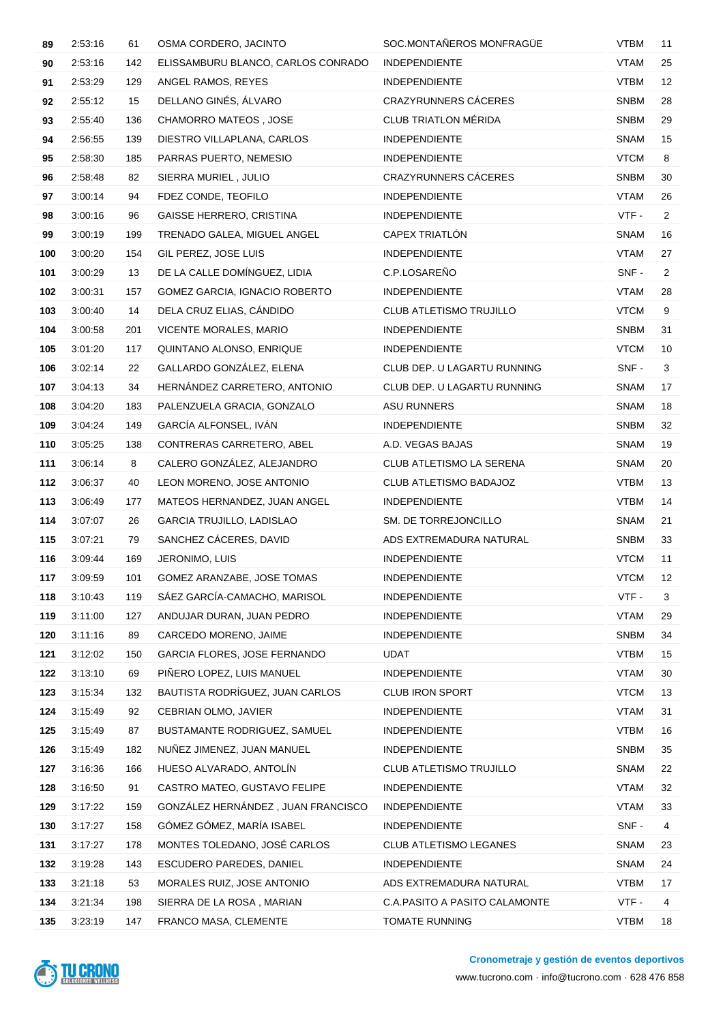| 89  | 2:53:16 | 61  | OSMA CORDERO, JACINTO              | SOC.MONTAÑEROS MONFRAGÜE      | <b>VTBM</b> | 11             |
|-----|---------|-----|------------------------------------|-------------------------------|-------------|----------------|
| 90  | 2:53:16 | 142 | ELISSAMBURU BLANCO, CARLOS CONRADO | <b>INDEPENDIENTE</b>          | <b>VTAM</b> | 25             |
| 91  | 2:53:29 | 129 | ANGEL RAMOS, REYES                 | <b>INDEPENDIENTE</b>          | <b>VTBM</b> | 12             |
| 92  | 2:55:12 | 15  | DELLANO GINÉS, ÁLVARO              | <b>CRAZYRUNNERS CÁCERES</b>   | <b>SNBM</b> | 28             |
| 93  | 2:55:40 | 136 | CHAMORRO MATEOS, JOSE              | <b>CLUB TRIATLON MÉRIDA</b>   | <b>SNBM</b> | 29             |
| 94  | 2:56:55 | 139 | DIESTRO VILLAPLANA, CARLOS         | <b>INDEPENDIENTE</b>          | <b>SNAM</b> | 15             |
| 95  | 2:58:30 | 185 | PARRAS PUERTO, NEMESIO             | <b>INDEPENDIENTE</b>          | <b>VTCM</b> | 8              |
| 96  | 2:58:48 | 82  | SIERRA MURIEL, JULIO               | <b>CRAZYRUNNERS CÁCERES</b>   | <b>SNBM</b> | 30             |
| 97  | 3:00:14 | 94  | FDEZ CONDE, TEOFILO                | <b>INDEPENDIENTE</b>          | <b>VTAM</b> | 26             |
| 98  | 3:00:16 | 96  | <b>GAISSE HERRERO, CRISTINA</b>    | <b>INDEPENDIENTE</b>          | VTF-        | $\overline{2}$ |
| 99  | 3:00:19 | 199 | TRENADO GALEA, MIGUEL ANGEL        | CAPEX TRIATLÓN                | <b>SNAM</b> | 16             |
| 100 | 3:00:20 | 154 | GIL PEREZ, JOSE LUIS               | <b>INDEPENDIENTE</b>          | <b>VTAM</b> | 27             |
| 101 | 3:00:29 | 13  | DE LA CALLE DOMÍNGUEZ, LIDIA       | C.P.LOSAREÑO                  | SNF-        | $\overline{2}$ |
| 102 | 3:00:31 | 157 | GOMEZ GARCIA, IGNACIO ROBERTO      | <b>INDEPENDIENTE</b>          | <b>VTAM</b> | 28             |
| 103 | 3:00:40 | 14  | DELA CRUZ ELIAS, CÁNDIDO           | CLUB ATLETISMO TRUJILLO       | <b>VTCM</b> | 9              |
| 104 | 3:00:58 | 201 | VICENTE MORALES, MARIO             | <b>INDEPENDIENTE</b>          | <b>SNBM</b> | 31             |
| 105 | 3:01:20 | 117 | QUINTANO ALONSO, ENRIQUE           | <b>INDEPENDIENTE</b>          | <b>VTCM</b> | 10             |
| 106 | 3:02:14 | 22  | GALLARDO GONZÁLEZ, ELENA           | CLUB DEP. U LAGARTU RUNNING   | SNF-        | 3              |
| 107 | 3:04:13 | 34  | HERNÁNDEZ CARRETERO, ANTONIO       | CLUB DEP. U LAGARTU RUNNING   | <b>SNAM</b> | 17             |
| 108 | 3:04:20 | 183 | PALENZUELA GRACIA, GONZALO         | ASU RUNNERS                   | <b>SNAM</b> | 18             |
| 109 | 3:04:24 | 149 | GARCÍA ALFONSEL, IVÁN              | <b>INDEPENDIENTE</b>          | <b>SNBM</b> | 32             |
| 110 | 3:05:25 | 138 | CONTRERAS CARRETERO, ABEL          | A.D. VEGAS BAJAS              | <b>SNAM</b> | 19             |
| 111 | 3:06:14 | 8   | CALERO GONZÁLEZ, ALEJANDRO         | CLUB ATLETISMO LA SERENA      | <b>SNAM</b> | 20             |
| 112 | 3:06:37 | 40  | LEON MORENO, JOSE ANTONIO          | CLUB ATLETISMO BADAJOZ        | <b>VTBM</b> | 13             |
| 113 | 3:06:49 | 177 | MATEOS HERNANDEZ, JUAN ANGEL       | <b>INDEPENDIENTE</b>          | <b>VTBM</b> | 14             |
| 114 | 3:07:07 | 26  | <b>GARCIA TRUJILLO, LADISLAO</b>   | SM. DE TORREJONCILLO          | <b>SNAM</b> | 21             |
| 115 | 3:07:21 | 79  | SANCHEZ CÁCERES, DAVID             | ADS EXTREMADURA NATURAL       | <b>SNBM</b> | 33             |
| 116 | 3:09:44 | 169 | JERONIMO, LUIS                     | <b>INDEPENDIENTE</b>          | <b>VTCM</b> | 11             |
| 117 | 3:09:59 | 101 | GOMEZ ARANZABE, JOSE TOMAS         | <b>INDEPENDIENTE</b>          | <b>VTCM</b> | 12             |
| 118 | 3:10:43 | 119 | SÁEZ GARCÍA-CAMACHO, MARISOL       | <b>INDEPENDIENTE</b>          | VTF-        | 3              |
| 119 | 3:11:00 | 127 | ANDUJAR DURAN, JUAN PEDRO          | <b>INDEPENDIENTE</b>          | <b>VTAM</b> | 29             |
| 120 | 3:11:16 | 89  | CARCEDO MORENO, JAIME              | <b>INDEPENDIENTE</b>          | <b>SNBM</b> | 34             |
| 121 | 3:12:02 | 150 | GARCIA FLORES, JOSE FERNANDO       | UDAT                          | <b>VTBM</b> | 15             |
| 122 | 3:13:10 | 69  | PIÑERO LOPEZ, LUIS MANUEL          | <b>INDEPENDIENTE</b>          | <b>VTAM</b> | 30             |
| 123 | 3:15:34 | 132 | BAUTISTA RODRÍGUEZ, JUAN CARLOS    | <b>CLUB IRON SPORT</b>        | <b>VTCM</b> | 13             |
| 124 | 3:15:49 | 92  | CEBRIAN OLMO, JAVIER               | <b>INDEPENDIENTE</b>          | <b>VTAM</b> | 31             |
| 125 | 3:15:49 | 87  | BUSTAMANTE RODRIGUEZ, SAMUEL       | <b>INDEPENDIENTE</b>          | <b>VTBM</b> | 16             |
| 126 | 3:15:49 | 182 | NUÑEZ JIMENEZ, JUAN MANUEL         | <b>INDEPENDIENTE</b>          | <b>SNBM</b> | 35             |
| 127 | 3:16:36 | 166 | HUESO ALVARADO, ANTOLÍN            | CLUB ATLETISMO TRUJILLO       | <b>SNAM</b> | 22             |
| 128 | 3:16:50 | 91  | CASTRO MATEO, GUSTAVO FELIPE       | <b>INDEPENDIENTE</b>          | <b>VTAM</b> | 32             |
| 129 | 3:17:22 | 159 | GONZÁLEZ HERNÁNDEZ, JUAN FRANCISCO | <b>INDEPENDIENTE</b>          | <b>VTAM</b> | 33             |
| 130 | 3:17:27 | 158 | GÓMEZ GÓMEZ, MARÍA ISABEL          | <b>INDEPENDIENTE</b>          | SNF-        | 4              |
| 131 | 3:17:27 | 178 | MONTES TOLEDANO, JOSÉ CARLOS       | CLUB ATLETISMO LEGANES        | <b>SNAM</b> | 23             |
| 132 | 3:19:28 | 143 | ESCUDERO PAREDES, DANIEL           | <b>INDEPENDIENTE</b>          | SNAM        | 24             |
| 133 | 3:21:18 | 53  | MORALES RUIZ, JOSE ANTONIO         | ADS EXTREMADURA NATURAL       | VTBM        | 17             |
| 134 | 3:21:34 | 198 | SIERRA DE LA ROSA, MARIAN          | C.A.PASITO A PASITO CALAMONTE | VTF-        | 4              |
| 135 | 3:23:19 | 147 | FRANCO MASA, CLEMENTE              | TOMATE RUNNING                | <b>VTBM</b> | 18             |

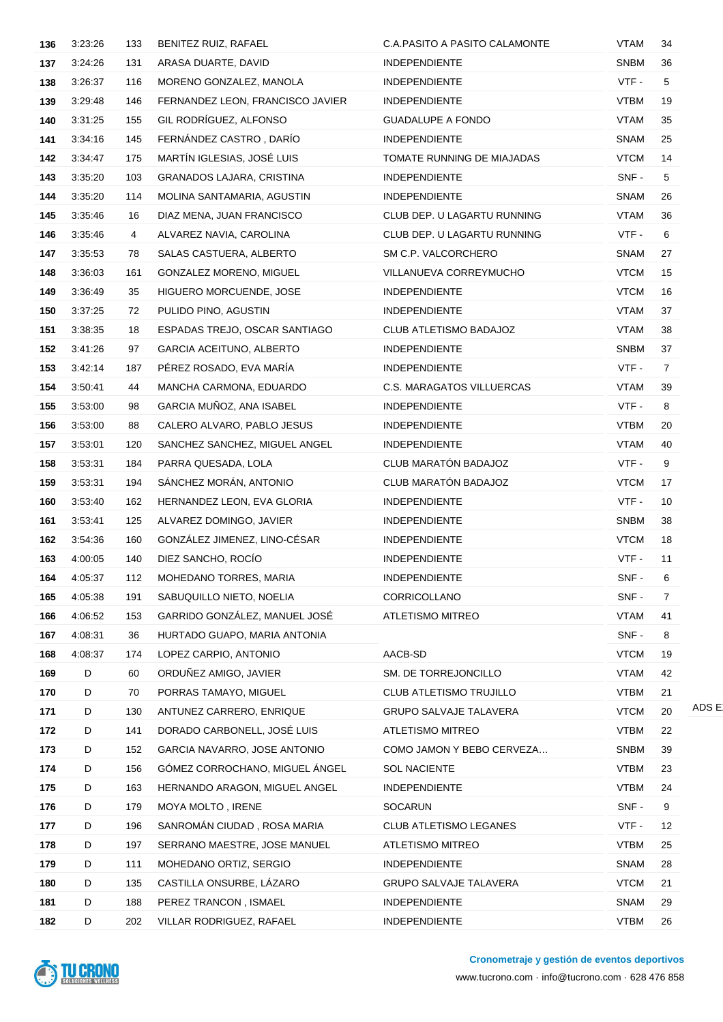| 136 | 3:23:26 | 133 | BENITEZ RUIZ, RAFAEL             | C.A.PASITO A PASITO CALAMONTE    | <b>VTAM</b> | 34             |
|-----|---------|-----|----------------------------------|----------------------------------|-------------|----------------|
| 137 | 3:24:26 | 131 | ARASA DUARTE, DAVID              | <b>INDEPENDIENTE</b>             | <b>SNBM</b> | 36             |
| 138 | 3:26:37 | 116 | MORENO GONZALEZ, MANOLA          | <b>INDEPENDIENTE</b>             | VTF-        | 5              |
| 139 | 3:29:48 | 146 | FERNANDEZ LEON, FRANCISCO JAVIER | <b>INDEPENDIENTE</b>             | <b>VTBM</b> | 19             |
| 140 | 3:31:25 | 155 | GIL RODRÍGUEZ, ALFONSO           | <b>GUADALUPE A FONDO</b>         | <b>VTAM</b> | 35             |
| 141 | 3:34:16 | 145 | FERNÁNDEZ CASTRO, DARÍO          | <b>INDEPENDIENTE</b>             | <b>SNAM</b> | 25             |
| 142 | 3:34:47 | 175 | MARTÍN IGLESIAS, JOSÉ LUIS       | TOMATE RUNNING DE MIAJADAS       | <b>VTCM</b> | 14             |
| 143 | 3:35:20 | 103 | <b>GRANADOS LAJARA, CRISTINA</b> | <b>INDEPENDIENTE</b>             | SNF-        | 5              |
| 144 | 3:35:20 | 114 | MOLINA SANTAMARIA, AGUSTIN       | <b>INDEPENDIENTE</b>             | <b>SNAM</b> | 26             |
| 145 | 3:35:46 | 16  | DIAZ MENA, JUAN FRANCISCO        | CLUB DEP. U LAGARTU RUNNING      | <b>VTAM</b> | 36             |
| 146 | 3:35:46 | 4   | ALVAREZ NAVIA, CAROLINA          | CLUB DEP. U LAGARTU RUNNING      | VTF -       | 6              |
| 147 | 3:35:53 | 78  | SALAS CASTUERA, ALBERTO          | SM C.P. VALCORCHERO              | <b>SNAM</b> | 27             |
| 148 | 3:36:03 | 161 | GONZALEZ MORENO, MIGUEL          | VILLANUEVA CORREYMUCHO           | <b>VTCM</b> | 15             |
| 149 | 3:36:49 | 35  | HIGUERO MORCUENDE, JOSE          | <b>INDEPENDIENTE</b>             | <b>VTCM</b> | 16             |
| 150 | 3:37:25 | 72  | PULIDO PINO, AGUSTIN             | <b>INDEPENDIENTE</b>             | <b>VTAM</b> | 37             |
| 151 | 3:38:35 | 18  | ESPADAS TREJO, OSCAR SANTIAGO    | CLUB ATLETISMO BADAJOZ           | <b>VTAM</b> | 38             |
| 152 | 3:41:26 | 97  | <b>GARCIA ACEITUNO, ALBERTO</b>  | <b>INDEPENDIENTE</b>             | <b>SNBM</b> | 37             |
| 153 | 3:42:14 | 187 | PÉREZ ROSADO, EVA MARÍA          | <b>INDEPENDIENTE</b>             | VTF-        | $\overline{7}$ |
| 154 | 3:50:41 | 44  | MANCHA CARMONA, EDUARDO          | <b>C.S. MARAGATOS VILLUERCAS</b> | <b>VTAM</b> | 39             |
| 155 | 3:53:00 | 98  | GARCIA MUÑOZ, ANA ISABEL         | <b>INDEPENDIENTE</b>             | VTF-        | 8              |
| 156 | 3:53:00 | 88  | CALERO ALVARO, PABLO JESUS       | <b>INDEPENDIENTE</b>             | <b>VTBM</b> | 20             |
| 157 | 3:53:01 | 120 | SANCHEZ SANCHEZ, MIGUEL ANGEL    | <b>INDEPENDIENTE</b>             | <b>VTAM</b> | 40             |
| 158 | 3:53:31 | 184 | PARRA QUESADA, LOLA              | CLUB MARATÓN BADAJOZ             | VTF -       | 9              |
| 159 | 3:53:31 | 194 | SÁNCHEZ MORÁN, ANTONIO           | CLUB MARATÓN BADAJOZ             | <b>VTCM</b> | 17             |
| 160 | 3:53:40 | 162 | HERNANDEZ LEON, EVA GLORIA       | <b>INDEPENDIENTE</b>             | VTF-        | 10             |
| 161 | 3:53:41 | 125 | ALVAREZ DOMINGO, JAVIER          | <b>INDEPENDIENTE</b>             | <b>SNBM</b> | 38             |
| 162 | 3:54:36 | 160 | GONZÁLEZ JIMENEZ, LINO-CÉSAR     | <b>INDEPENDIENTE</b>             | <b>VTCM</b> | 18             |
| 163 | 4:00:05 | 140 | DIEZ SANCHO, ROCÍO               | <b>INDEPENDIENTE</b>             | VTF-        | 11             |
| 164 | 4:05:37 | 112 | MOHEDANO TORRES, MARIA           | INDEPENDIENTE                    | SNF -       | 6              |
| 165 | 4:05:38 | 191 | SABUQUILLO NIETO, NOELIA         | CORRICOLLANO                     | SNF-        | 7              |
| 166 | 4:06:52 | 153 | GARRIDO GONZÁLEZ, MANUEL JOSÉ    | ATLETISMO MITREO                 | <b>VTAM</b> | 41             |
| 167 | 4:08:31 | 36  | HURTADO GUAPO, MARIA ANTONIA     |                                  | SNF-        | 8              |
| 168 | 4:08:37 | 174 | LOPEZ CARPIO, ANTONIO            | AACB-SD                          | <b>VTCM</b> | 19             |
| 169 | D       | 60  | ORDUÑEZ AMIGO, JAVIER            | SM. DE TORREJONCILLO             | <b>VTAM</b> | 42             |
| 170 | D       | 70  | PORRAS TAMAYO, MIGUEL            | CLUB ATLETISMO TRUJILLO          | <b>VTBM</b> | 21             |
| 171 | D       | 130 | ANTUNEZ CARRERO, ENRIQUE         | <b>GRUPO SALVAJE TALAVERA</b>    | <b>VTCM</b> | 20             |
| 172 | D       | 141 | DORADO CARBONELL, JOSÉ LUIS      | <b>ATLETISMO MITREO</b>          | <b>VTBM</b> | 22             |
| 173 | D       | 152 | GARCIA NAVARRO, JOSE ANTONIO     | COMO JAMON Y BEBO CERVEZA        | <b>SNBM</b> | 39             |
| 174 | D       | 156 | GÓMEZ CORROCHANO, MIGUEL ÁNGEL   | <b>SOL NACIENTE</b>              | <b>VTBM</b> | 23             |
| 175 | D       | 163 | HERNANDO ARAGON, MIGUEL ANGEL    | <b>INDEPENDIENTE</b>             | <b>VTBM</b> | 24             |
| 176 | D       | 179 | MOYA MOLTO, IRENE                | <b>SOCARUN</b>                   | SNF-        | 9              |
| 177 | D       | 196 | SANROMÁN CIUDAD, ROSA MARIA      | <b>CLUB ATLETISMO LEGANES</b>    | VTF -       | 12             |
| 178 | D       | 197 | SERRANO MAESTRE, JOSE MANUEL     | <b>ATLETISMO MITREO</b>          | <b>VTBM</b> | 25             |
| 179 | D       | 111 | MOHEDANO ORTIZ, SERGIO           | <b>INDEPENDIENTE</b>             | <b>SNAM</b> | 28             |
| 180 | D       | 135 | CASTILLA ONSURBE, LÁZARO         | <b>GRUPO SALVAJE TALAVERA</b>    | <b>VTCM</b> | 21             |
| 181 | D       | 188 | PEREZ TRANCON, ISMAEL            | <b>INDEPENDIENTE</b>             | <b>SNAM</b> | 29             |
| 182 | D       | 202 | VILLAR RODRIGUEZ, RAFAEL         | INDEPENDIENTE                    | <b>VTBM</b> | 26             |



ADS E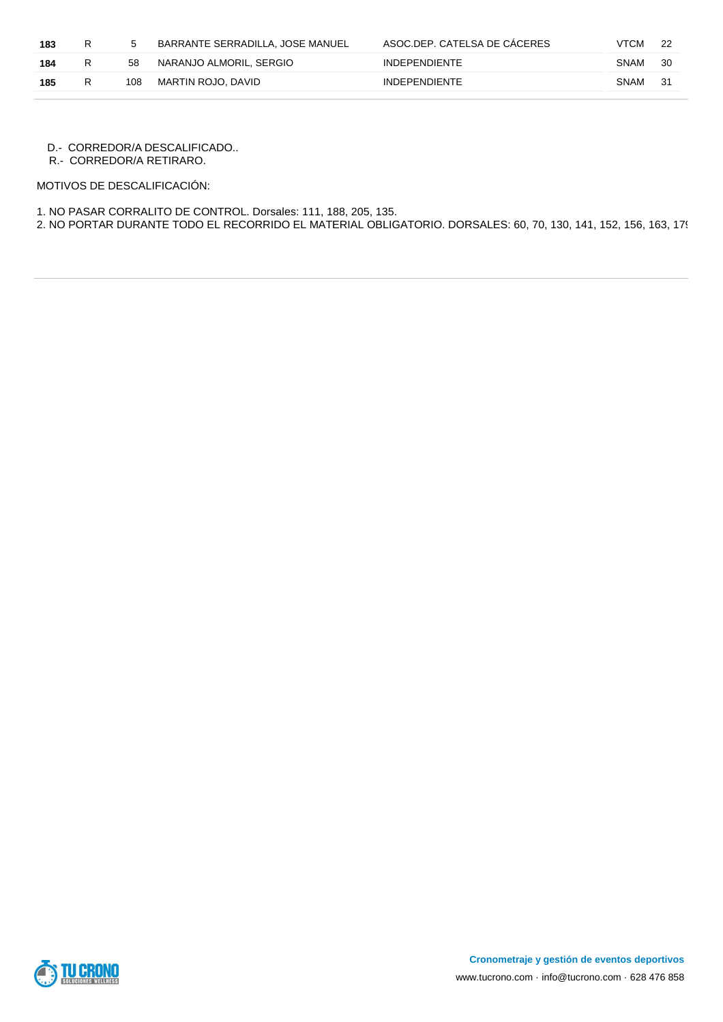| 183 | R |     | BARRANTE SERRADILLA, JOSE MANUEL | ASOC.DEP. CATELSA DE CACERES | <b>VTCM</b> |     |
|-----|---|-----|----------------------------------|------------------------------|-------------|-----|
| 184 | R | 58  | NARANJO ALMORIL, SERGIO          | <b>INDEPENDIENTE</b>         | SNAM        | -30 |
| 185 | R | 108 | MARTIN ROJO. DAVID               | <b>INDEPENDIENTE</b>         | SNAM        | -31 |

D.- CORREDOR/A DESCALIFICADO..

R.- CORREDOR/A RETIRARO.

MOTIVOS DE DESCALIFICACIÓN:

1. NO PASAR CORRALITO DE CONTROL. Dorsales: 111, 188, 205, 135.

2. NO PORTAR DURANTE TODO EL RECORRIDO EL MATERIAL OBLIGATORIO. DORSALES: 60, 70, 130, 141, 152, 156, 163, 179, 196, 197

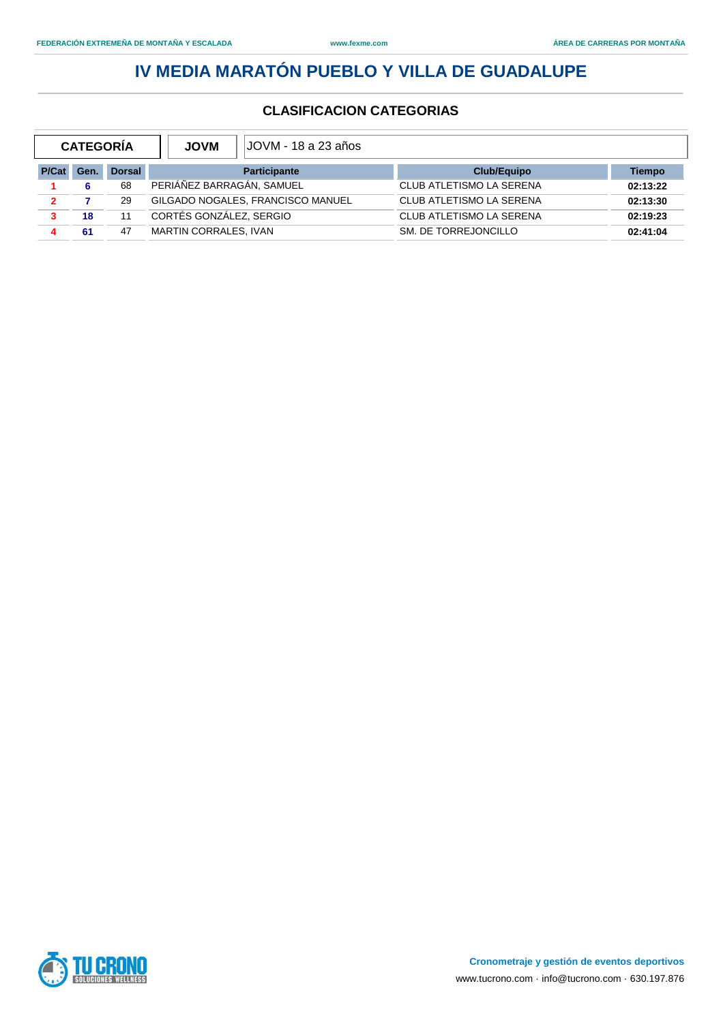| <b>CATEGORÍA</b> |      |               | JOVM - 18 a 23 años  <br><b>JOVM</b> |                             |               |
|------------------|------|---------------|--------------------------------------|-----------------------------|---------------|
| P/Cat            | Gen. | <b>Dorsal</b> | <b>Participante</b>                  | Club/Equipo                 | <b>Tiempo</b> |
|                  | 6    | 68            | PERIÁÑEZ BARRAGÁN, SAMUEL            | CLUB ATLETISMO LA SERENA    | 02:13:22      |
| $\mathbf{2}$     |      | 29            | GILGADO NOGALES, FRANCISCO MANUEL    | CLUB ATLETISMO LA SERENA    | 02:13:30      |
| 3                | 18   | 11            | CORTÉS GONZÁLEZ, SERGIO              | CLUB ATLETISMO LA SERENA    | 02:19:23      |
| 4                | 61   | 47            | <b>MARTIN CORRALES, IVAN</b>         | <b>SM. DE TORREJONCILLO</b> | 02:41:04      |

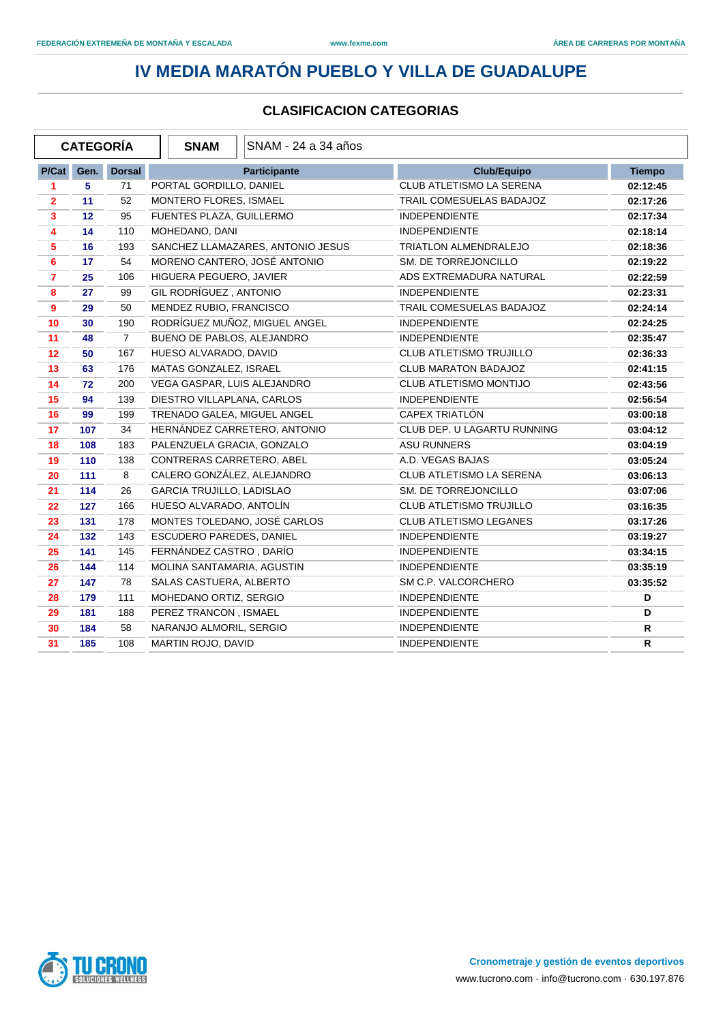|                         | <b>CATEGORÍA</b> |                | <b>SNAM</b>                 | SNAM - 24 a 34 años               |                                |               |
|-------------------------|------------------|----------------|-----------------------------|-----------------------------------|--------------------------------|---------------|
| P/Cat                   | Gen.             | <b>Dorsal</b>  |                             | <b>Participante</b>               | <b>Club/Equipo</b>             | <b>Tiempo</b> |
| 1                       | 5                | 71             | PORTAL GORDILLO, DANIEL     |                                   | CLUB ATLETISMO LA SERENA       | 02:12:45      |
| $\overline{2}$          | 11               | 52             | MONTERO FLORES, ISMAEL      |                                   | TRAIL COMESUELAS BADAJOZ       | 02:17:26      |
| $\mathbf{3}$            | 12               | 95             | FUENTES PLAZA, GUILLERMO    |                                   | <b>INDEPENDIENTE</b>           | 02:17:34      |
| 4                       | 14               | 110            | MOHEDANO, DANI              |                                   | <b>INDEPENDIENTE</b>           | 02:18:14      |
| $\overline{\mathbf{5}}$ | 16               | 193            |                             | SANCHEZ LLAMAZARES, ANTONIO JESUS | <b>TRIATLON ALMENDRALEJO</b>   | 02:18:36      |
| 6                       | 17               | 54             |                             | MORENO CANTERO, JOSÉ ANTONIO      | SM. DE TORREJONCILLO           | 02:19:22      |
| $\overline{7}$          | 25               | 106            | HIGUERA PEGUERO, JAVIER     |                                   | ADS EXTREMADURA NATURAL        | 02:22:59      |
| 8                       | 27               | 99             | GIL RODRÍGUEZ, ANTONIO      |                                   | <b>INDEPENDIENTE</b>           | 02:23:31      |
| $\overline{9}$          | 29               | 50             | MENDEZ RUBIO, FRANCISCO     |                                   | TRAIL COMESUELAS BADAJOZ       | 02:24:14      |
| 10                      | 30               | 190            |                             | RODRÍGUEZ MUÑOZ, MIGUEL ANGEL     | <b>INDEPENDIENTE</b>           | 02:24:25      |
| 11                      | 48               | $\overline{7}$ | BUENO DE PABLOS, ALEJANDRO  |                                   | <b>INDEPENDIENTE</b>           | 02:35:47      |
| 12                      | 50               | 167            | HUESO ALVARADO, DAVID       |                                   | <b>CLUB ATLETISMO TRUJILLO</b> | 02:36:33      |
| 13                      | 63               | 176            | MATAS GONZALEZ, ISRAEL      |                                   | CLUB MARATON BADAJOZ           | 02:41:15      |
| 14                      | 72               | 200            | VEGA GASPAR, LUIS ALEJANDRO |                                   | CLUB ATLETISMO MONTIJO         | 02:43:56      |
| 15                      | 94               | 139            | DIESTRO VILLAPLANA, CARLOS  |                                   | <b>INDEPENDIENTE</b>           | 02:56:54      |
| 16                      | 99               | 199            | TRENADO GALEA, MIGUEL ANGEL |                                   | CAPEX TRIATLÓN                 | 03:00:18      |
| 17                      | 107              | 34             |                             | HERNÁNDEZ CARRETERO, ANTONIO      | CLUB DEP. U LAGARTU RUNNING    | 03:04:12      |
| 18                      | 108              | 183            | PALENZUELA GRACIA, GONZALO  |                                   | <b>ASU RUNNERS</b>             | 03:04:19      |
| 19                      | 110              | 138            | CONTRERAS CARRETERO, ABEL   |                                   | A.D. VEGAS BAJAS               | 03:05:24      |
| 20                      | 111              | 8              | CALERO GONZÁLEZ, ALEJANDRO  |                                   | CLUB ATLETISMO LA SERENA       | 03:06:13      |
| 21                      | 114              | 26             | GARCIA TRUJILLO, LADISLAO   |                                   | SM. DE TORREJONCILLO           | 03:07:06      |
| 22                      | 127              | 166            | HUESO ALVARADO, ANTOLÍN     |                                   | CLUB ATLETISMO TRUJILLO        | 03:16:35      |
| 23                      | 131              | 178            |                             | MONTES TOLEDANO, JOSÉ CARLOS      | <b>CLUB ATLETISMO LEGANES</b>  | 03:17:26      |
| 24                      | 132              | 143            | ESCUDERO PAREDES, DANIEL    |                                   | <b>INDEPENDIENTE</b>           | 03:19:27      |
| 25                      | 141              | 145            | FERNÁNDEZ CASTRO, DARÍO     |                                   | <b>INDEPENDIENTE</b>           | 03:34:15      |
| 26                      | 144              | 114            | MOLINA SANTAMARIA, AGUSTIN  |                                   | <b>INDEPENDIENTE</b>           | 03:35:19      |
| 27                      | 147              | 78             | SALAS CASTUERA, ALBERTO     |                                   | SM C.P. VALCORCHERO            | 03:35:52      |
| 28                      | 179              | 111            | MOHEDANO ORTIZ, SERGIO      |                                   | <b>INDEPENDIENTE</b>           | D             |
| 29                      | 181              | 188            | PEREZ TRANCON, ISMAEL       |                                   | <b>INDEPENDIENTE</b>           | D             |
| 30                      | 184              | 58             | NARANJO ALMORIL, SERGIO     |                                   | <b>INDEPENDIENTE</b>           | R             |
| 31                      | 185              | 108            | MARTIN ROJO, DAVID          |                                   | <b>INDEPENDIENTE</b>           | $\mathsf{R}$  |

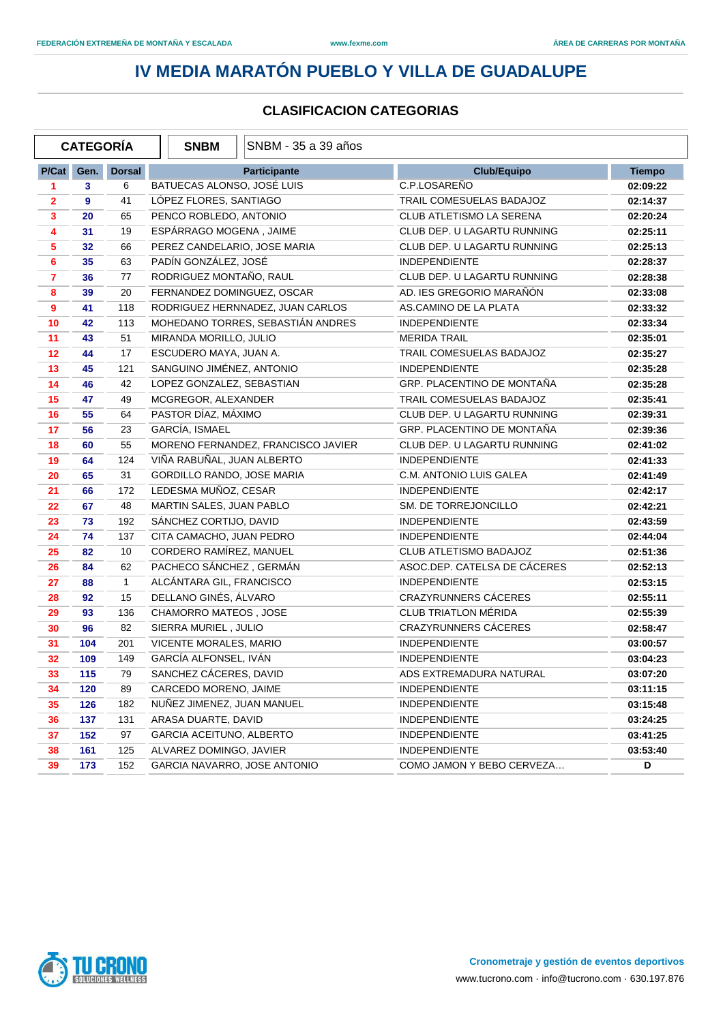|                | <b>CATEGORÍA</b> |               | <b>SNBM</b>                     | SNBM - 35 a 39 años                |                              |               |
|----------------|------------------|---------------|---------------------------------|------------------------------------|------------------------------|---------------|
| P/Cat          | Gen.             | <b>Dorsal</b> |                                 | <b>Participante</b>                | <b>Club/Equipo</b>           | <b>Tiempo</b> |
| 1              | 3                | 6             | BATUECAS ALONSO, JOSÉ LUIS      |                                    | C.P.LOSAREÑO                 | 02:09:22      |
| $\overline{2}$ | 9                | 41            | LÓPEZ FLORES, SANTIAGO          |                                    | TRAIL COMESUELAS BADAJOZ     | 02:14:37      |
| $\mathbf{3}$   | 20               | 65            | PENCO ROBLEDO, ANTONIO          |                                    | CLUB ATLETISMO LA SERENA     | 02:20:24      |
| 4              | 31               | 19            | ESPÁRRAGO MOGENA, JAIME         |                                    | CLUB DEP. U LAGARTU RUNNING  | 02:25:11      |
| 5              | 32               | 66            | PEREZ CANDELARIO, JOSE MARIA    |                                    | CLUB DEP. U LAGARTU RUNNING  | 02:25:13      |
| 6              | 35               | 63            | PADÍN GONZÁLEZ, JOSÉ            |                                    | <b>INDEPENDIENTE</b>         | 02:28:37      |
| $\overline{7}$ | 36               | 77            | RODRIGUEZ MONTAÑO, RAUL         |                                    | CLUB DEP. U LAGARTU RUNNING  | 02:28:38      |
| 8              | 39               | 20            | FERNANDEZ DOMINGUEZ, OSCAR      |                                    | AD. IES GREGORIO MARAÑÓN     | 02:33:08      |
| 9              | 41               | 118           |                                 | RODRIGUEZ HERNNADEZ, JUAN CARLOS   | AS.CAMINO DE LA PLATA        | 02:33:32      |
| 10             | 42               | 113           |                                 | MOHEDANO TORRES, SEBASTIÁN ANDRES  | <b>INDEPENDIENTE</b>         | 02:33:34      |
| 11             | 43               | 51            | MIRANDA MORILLO, JULIO          |                                    | <b>MERIDA TRAIL</b>          | 02:35:01      |
| 12             | 44               | 17            | ESCUDERO MAYA, JUAN A.          |                                    | TRAIL COMESUELAS BADAJOZ     | 02:35:27      |
| 13             | 45               | 121           | SANGUINO JIMÉNEZ, ANTONIO       |                                    | <b>INDEPENDIENTE</b>         | 02:35:28      |
| 14             | 46               | 42            | LOPEZ GONZALEZ, SEBASTIAN       |                                    | GRP. PLACENTINO DE MONTAÑA   | 02:35:28      |
| 15             | 47               | 49            | MCGREGOR, ALEXANDER             |                                    | TRAIL COMESUELAS BADAJOZ     | 02:35:41      |
| 16             | 55               | 64            | PASTOR DÍAZ, MÁXIMO             |                                    | CLUB DEP. U LAGARTU RUNNING  | 02:39:31      |
| 17             | 56               | 23            | GARCÍA, ISMAEL                  |                                    | GRP. PLACENTINO DE MONTAÑA   | 02:39:36      |
| 18             | 60               | 55            |                                 | MORENO FERNANDEZ, FRANCISCO JAVIER | CLUB DEP. U LAGARTU RUNNING  | 02:41:02      |
| 19             | 64               | 124           | VIÑA RABUÑAL, JUAN ALBERTO      |                                    | <b>INDEPENDIENTE</b>         | 02:41:33      |
| 20             | 65               | 31            | GORDILLO RANDO, JOSE MARIA      |                                    | C.M. ANTONIO LUIS GALEA      | 02:41:49      |
| 21             | 66               | 172           | LEDESMA MUÑOZ, CESAR            |                                    | <b>INDEPENDIENTE</b>         | 02:42:17      |
| 22             | 67               | 48            | MARTIN SALES, JUAN PABLO        |                                    | SM. DE TORREJONCILLO         | 02:42:21      |
| 23             | 73               | 192           | SÁNCHEZ CORTIJO, DAVID          |                                    | <b>INDEPENDIENTE</b>         | 02:43:59      |
| 24             | 74               | 137           | CITA CAMACHO, JUAN PEDRO        |                                    | <b>INDEPENDIENTE</b>         | 02:44:04      |
| 25             | 82               | 10            | CORDERO RAMÍREZ, MANUEL         |                                    | CLUB ATLETISMO BADAJOZ       | 02:51:36      |
| 26             | 84               | 62            | PACHECO SÁNCHEZ, GERMÁN         |                                    | ASOC.DEP. CATELSA DE CÁCERES | 02:52:13      |
| 27             | 88               | $\mathbf{1}$  | ALCÁNTARA GIL, FRANCISCO        |                                    | <b>INDEPENDIENTE</b>         | 02:53:15      |
| 28             | 92               | 15            | DELLANO GINÉS, ÁLVARO           |                                    | CRAZYRUNNERS CÁCERES         | 02:55:11      |
| 29             | 93               | 136           | CHAMORRO MATEOS, JOSE           |                                    | <b>CLUB TRIATLON MÉRIDA</b>  | 02:55:39      |
| 30             | 96               | 82            | SIERRA MURIEL, JULIO            |                                    | CRAZYRUNNERS CÁCERES         | 02:58:47      |
| 31             | 104              | 201           | VICENTE MORALES, MARIO          |                                    | <b>INDEPENDIENTE</b>         | 03:00:57      |
| 32             | 109              | 149           | GARCÍA ALFONSEL, IVÁN           |                                    | <b>INDEPENDIENTE</b>         | 03:04:23      |
| 33             | 115              | 79            | SANCHEZ CÁCERES, DAVID          |                                    | ADS EXTREMADURA NATURAL      | 03:07:20      |
| 34             | 120              | 89            | CARCEDO MORENO, JAIME           |                                    | <b>INDEPENDIENTE</b>         | 03:11:15      |
| 35             | 126              | 182           | NUÑEZ JIMENEZ, JUAN MANUEL      |                                    | <b>INDEPENDIENTE</b>         | 03:15:48      |
| 36             | 137              | 131           | ARASA DUARTE, DAVID             |                                    | <b>INDEPENDIENTE</b>         | 03:24:25      |
| 37             | 152              | 97            | <b>GARCIA ACEITUNO, ALBERTO</b> |                                    | <b>INDEPENDIENTE</b>         | 03:41:25      |
| 38             | 161              | 125           | ALVAREZ DOMINGO, JAVIER         |                                    | <b>INDEPENDIENTE</b>         | 03:53:40      |
| 39             | 173              | 152           | GARCIA NAVARRO, JOSE ANTONIO    |                                    | COMO JAMON Y BEBO CERVEZA    | D             |

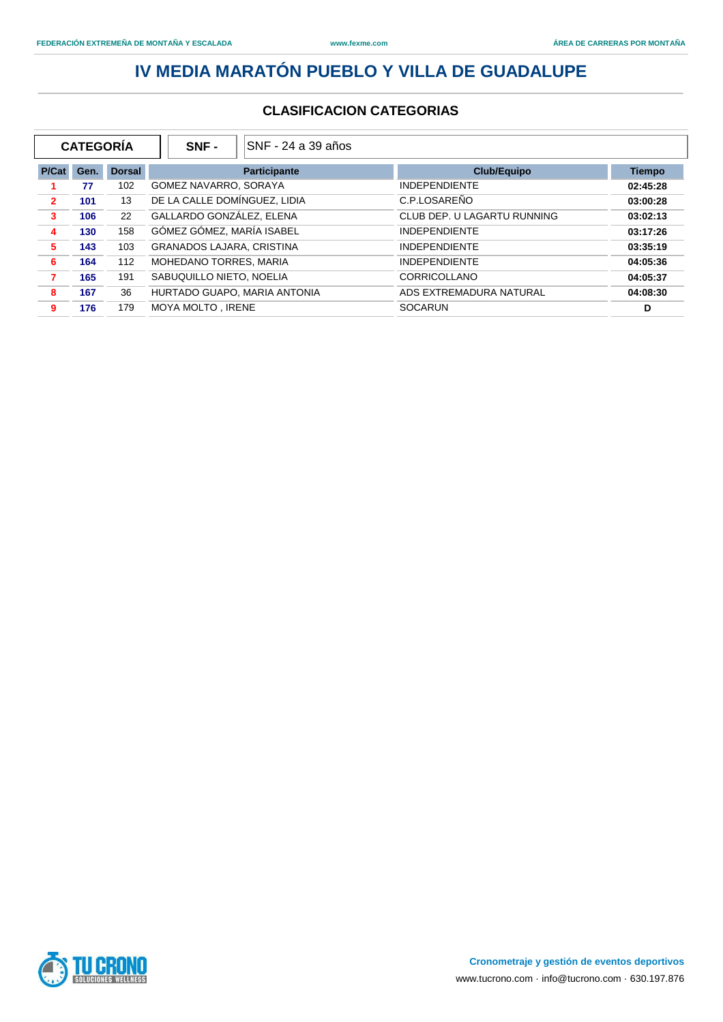| <b>CATEGORÍA</b> |      |               | ISNF - 24 a 39 años<br>SNF -     |                             |               |
|------------------|------|---------------|----------------------------------|-----------------------------|---------------|
| P/Cat            | Gen. | <b>Dorsal</b> | <b>Participante</b>              | <b>Club/Equipo</b>          | <b>Tiempo</b> |
|                  | 77   | 102           | GOMEZ NAVARRO, SORAYA            | <b>INDEPENDIENTE</b>        | 02:45:28      |
| $\mathbf{2}$     | 101  | 13            | DE LA CALLE DOMÍNGUEZ, LIDIA     | C.P.LOSAREÑO                | 03:00:28      |
| 3                | 106  | 22            | GALLARDO GONZÁLEZ, ELENA         | CLUB DEP. U LAGARTU RUNNING | 03:02:13      |
| 4                | 130  | 158           | GÓMEZ GÓMEZ, MARÍA ISABEL        | <b>INDEPENDIENTE</b>        | 03:17:26      |
| 5                | 143  | 103           | <b>GRANADOS LAJARA, CRISTINA</b> | <b>INDEPENDIENTE</b>        | 03:35:19      |
| 6                | 164  | 112           | MOHEDANO TORRES, MARIA           | <b>INDEPENDIENTE</b>        | 04:05:36      |
| 7                | 165  | 191           | SABUQUILLO NIETO. NOELIA         | CORRICOLLANO                | 04:05:37      |
| 8                | 167  | 36            | HURTADO GUAPO, MARIA ANTONIA     | ADS EXTREMADURA NATURAL     | 04:08:30      |
| 9                | 176  | 179           | <b>MOYA MOLTO, IRENE</b>         | SOCARUN                     | D             |

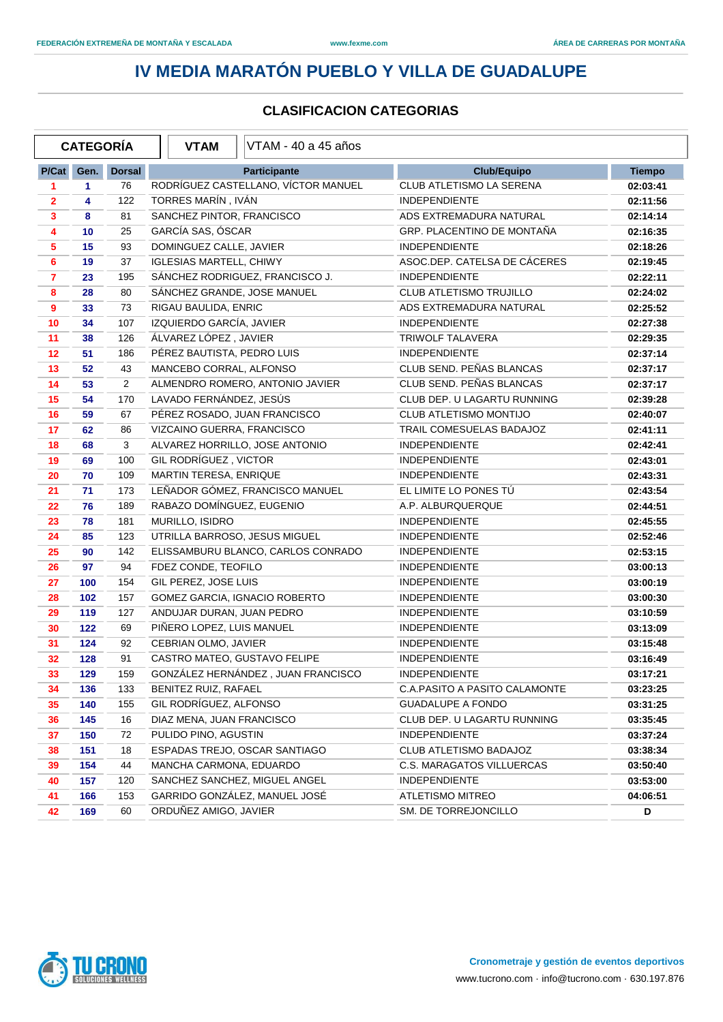|                | <b>CATEGORÍA</b> |                | <b>VTAM</b>                    | VTAM - 40 a 45 años                 |                                  |               |
|----------------|------------------|----------------|--------------------------------|-------------------------------------|----------------------------------|---------------|
| P/Cat          | Gen.             | <b>Dorsal</b>  |                                | <b>Participante</b>                 | <b>Club/Equipo</b>               | <b>Tiempo</b> |
| 1              | 1                | 76             |                                | RODRÍGUEZ CASTELLANO, VÍCTOR MANUEL | CLUB ATLETISMO LA SERENA         | 02:03:41      |
| 2              | 4                | 122            | TORRES MARÍN, IVÁN             |                                     | <b>INDEPENDIENTE</b>             | 02:11:56      |
| $\mathbf{3}$   | 8                | 81             | SANCHEZ PINTOR, FRANCISCO      |                                     | ADS EXTREMADURA NATURAL          | 02:14:14      |
| 4              | 10               | 25             | GARCÍA SAS, ÓSCAR              |                                     | GRP. PLACENTINO DE MONTAÑA       | 02:16:35      |
| 5              | 15               | 93             | DOMINGUEZ CALLE, JAVIER        |                                     | <b>INDEPENDIENTE</b>             | 02:18:26      |
| 6              | 19               | 37             | <b>IGLESIAS MARTELL, CHIWY</b> |                                     | ASOC.DEP. CATELSA DE CÁCERES     | 02:19:45      |
| $\overline{7}$ | 23               | 195            |                                | SÁNCHEZ RODRIGUEZ, FRANCISCO J.     | <b>INDEPENDIENTE</b>             | 02:22:11      |
| 8              | 28               | 80             | SÁNCHEZ GRANDE, JOSE MANUEL    |                                     | <b>CLUB ATLETISMO TRUJILLO</b>   | 02:24:02      |
| 9              | 33               | 73             | RIGAU BAULIDA, ENRIC           |                                     | ADS EXTREMADURA NATURAL          | 02:25:52      |
| 10             | 34               | 107            | IZQUIERDO GARCÍA, JAVIER       |                                     | <b>INDEPENDIENTE</b>             | 02:27:38      |
| 11             | 38               | 126            | ÁLVAREZ LÓPEZ, JAVIER          |                                     | TRIWOLF TALAVERA                 | 02:29:35      |
| 12             | 51               | 186            | PÉREZ BAUTISTA, PEDRO LUIS     |                                     | <b>INDEPENDIENTE</b>             | 02:37:14      |
| 13             | 52               | 43             | MANCEBO CORRAL, ALFONSO        |                                     | CLUB SEND. PEÑAS BLANCAS         | 02:37:17      |
| 14             | 53               | $\overline{2}$ |                                | ALMENDRO ROMERO, ANTONIO JAVIER     | CLUB SEND. PEÑAS BLANCAS         | 02:37:17      |
| 15             | 54               | 170            | LAVADO FERNÁNDEZ, JESÚS        |                                     | CLUB DEP. U LAGARTU RUNNING      | 02:39:28      |
| 16             | 59               | 67             | PÉREZ ROSADO, JUAN FRANCISCO   |                                     | CLUB ATLETISMO MONTIJO           | 02:40:07      |
| 17             | 62               | 86             | VIZCAINO GUERRA, FRANCISCO     |                                     | TRAIL COMESUELAS BADAJOZ         | 02:41:11      |
| 18             | 68               | 3              |                                | ALVAREZ HORRILLO, JOSE ANTONIO      | <b>INDEPENDIENTE</b>             | 02:42:41      |
| 19             | 69               | 100            | GIL RODRÍGUEZ, VICTOR          |                                     | <b>INDEPENDIENTE</b>             | 02:43:01      |
| 20             | 70               | 109            | MARTIN TERESA, ENRIQUE         |                                     | <b>INDEPENDIENTE</b>             | 02:43:31      |
| 21             | 71               | 173            |                                | LEÑADOR GÓMEZ, FRANCISCO MANUEL     | EL LIMITE LO PONES TÚ            | 02:43:54      |
| 22             | 76               | 189            | RABAZO DOMÍNGUEZ, EUGENIO      |                                     | A.P. ALBURQUERQUE                | 02:44:51      |
| 23             | 78               | 181            | MURILLO, ISIDRO                |                                     | <b>INDEPENDIENTE</b>             | 02:45:55      |
| 24             | 85               | 123            | UTRILLA BARROSO, JESUS MIGUEL  |                                     | <b>INDEPENDIENTE</b>             | 02:52:46      |
| 25             | 90               | 142            |                                | ELISSAMBURU BLANCO, CARLOS CONRADO  | <b>INDEPENDIENTE</b>             | 02:53:15      |
| 26             | 97               | 94             | FDEZ CONDE, TEOFILO            |                                     | <b>INDEPENDIENTE</b>             | 03:00:13      |
| 27             | 100              | 154            | GIL PEREZ, JOSE LUIS           |                                     | <b>INDEPENDIENTE</b>             | 03:00:19      |
| 28             | 102              | 157            |                                | GOMEZ GARCIA, IGNACIO ROBERTO       | <b>INDEPENDIENTE</b>             | 03:00:30      |
| 29             | 119              | 127            | ANDUJAR DURAN, JUAN PEDRO      |                                     | <b>INDEPENDIENTE</b>             | 03:10:59      |
| 30             | 122              | 69             | PIÑERO LOPEZ, LUIS MANUEL      |                                     | <b>INDEPENDIENTE</b>             | 03:13:09      |
| 31             | 124              | 92             | CEBRIAN OLMO, JAVIER           |                                     | <b>INDEPENDIENTE</b>             | 03:15:48      |
| 32             | 128              | 91             | CASTRO MATEO, GUSTAVO FELIPE   |                                     | <b>INDEPENDIENTE</b>             | 03:16:49      |
| 33             | 129              | 159            |                                | GONZÁLEZ HERNÁNDEZ, JUAN FRANCISCO  | INDEPENDIENTE                    | 03:17:21      |
| 34             | 136              | 133            | BENITEZ RUIZ, RAFAEL           |                                     | C.A.PASITO A PASITO CALAMONTE    | 03:23:25      |
| 35             | 140              | 155            | GIL RODRÍGUEZ, ALFONSO         |                                     | <b>GUADALUPE A FONDO</b>         | 03:31:25      |
| 36             | 145              | 16             | DIAZ MENA, JUAN FRANCISCO      |                                     | CLUB DEP. U LAGARTU RUNNING      | 03:35:45      |
| 37             | 150              | 72             | PULIDO PINO, AGUSTIN           |                                     | INDEPENDIENTE                    | 03:37:24      |
| 38             | 151              | 18             |                                | ESPADAS TREJO, OSCAR SANTIAGO       | CLUB ATLETISMO BADAJOZ           | 03:38:34      |
| 39             | 154              | 44             | MANCHA CARMONA, EDUARDO        |                                     | <b>C.S. MARAGATOS VILLUERCAS</b> | 03:50:40      |
| 40             | 157              | 120            |                                | SANCHEZ SANCHEZ, MIGUEL ANGEL       | <b>INDEPENDIENTE</b>             | 03:53:00      |
| 41             | 166              | 153            |                                | GARRIDO GONZÁLEZ, MANUEL JOSÉ       | <b>ATLETISMO MITREO</b>          | 04:06:51      |
| 42             | 169              | 60             | ORDUÑEZ AMIGO, JAVIER          |                                     | SM. DE TORREJONCILLO             | D             |

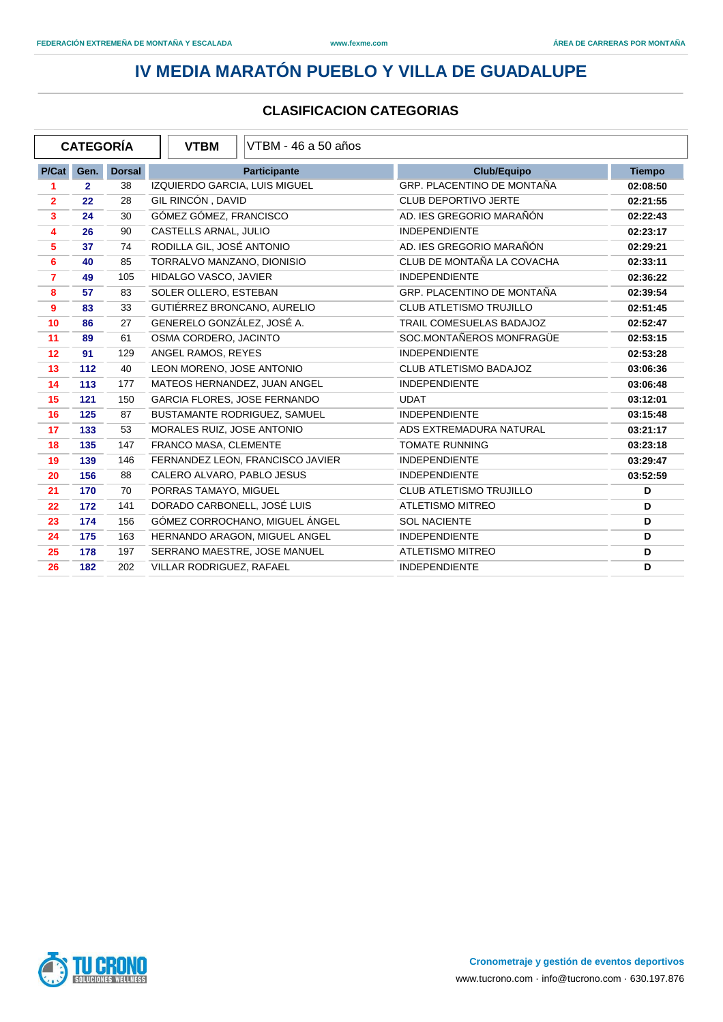|                  | <b>CATEGORÍA</b> |               | <b>VTBM</b><br>VTBM - 46 a 50 años  |                                |               |
|------------------|------------------|---------------|-------------------------------------|--------------------------------|---------------|
| P/Cat            | Gen.             | <b>Dorsal</b> | <b>Participante</b>                 | <b>Club/Equipo</b>             | <b>Tiempo</b> |
| 1                | $\overline{2}$   | 38            | IZQUIERDO GARCIA, LUIS MIGUEL       | GRP. PLACENTINO DE MONTAÑA     | 02:08:50      |
| $\overline{2}$   | 22               | 28            | GIL RINCÓN, DAVID                   | <b>CLUB DEPORTIVO JERTE</b>    | 02:21:55      |
| 3                | 24               | 30            | GÓMEZ GÓMEZ, FRANCISCO              | AD. IES GREGORIO MARAÑÓN       | 02:22:43      |
| 4                | 26               | 90            | CASTELLS ARNAL, JULIO               | <b>INDEPENDIENTE</b>           | 02:23:17      |
| $5\phantom{.0}$  | 37               | 74            | RODILLA GIL. JOSÉ ANTONIO           | AD. IES GREGORIO MARAÑÓN       | 02:29:21      |
| 6                | 40               | 85            | TORRALVO MANZANO, DIONISIO          | CLUB DE MONTAÑA LA COVACHA     | 02:33:11      |
| $\overline{7}$   | 49               | 105           | HIDALGO VASCO, JAVIER               | <b>INDEPENDIENTE</b>           | 02:36:22      |
| 8                | 57               | 83            | SOLER OLLERO, ESTEBAN               | GRP. PLACENTINO DE MONTAÑA     | 02:39:54      |
| $\boldsymbol{9}$ | 83               | 33            | GUTIÉRREZ BRONCANO, AURELIO         | <b>CLUB ATLETISMO TRUJILLO</b> | 02:51:45      |
| 10               | 86               | 27            | GENERELO GONZÁLEZ, JOSÉ A.          | TRAIL COMESUELAS BADAJOZ       | 02:52:47      |
| 11               | 89               | 61            | OSMA CORDERO, JACINTO               | SOC.MONTAÑEROS MONFRAGÜE       | 02:53:15      |
| 12               | 91               | 129           | ANGEL RAMOS, REYES                  | <b>INDEPENDIENTE</b>           | 02:53:28      |
| 13               | 112              | 40            | LEON MORENO, JOSE ANTONIO           | CLUB ATLETISMO BADAJOZ         | 03:06:36      |
| 14               | 113              | 177           | MATEOS HERNANDEZ, JUAN ANGEL        | <b>INDEPENDIENTE</b>           | 03:06:48      |
| 15               | 121              | 150           | <b>GARCIA FLORES, JOSE FERNANDO</b> | <b>UDAT</b>                    | 03:12:01      |
| 16               | 125              | 87            | BUSTAMANTE RODRIGUEZ, SAMUEL        | <b>INDEPENDIENTE</b>           | 03:15:48      |
| 17               | 133              | 53            | MORALES RUIZ, JOSE ANTONIO          | ADS EXTREMADURA NATURAL        | 03:21:17      |
| 18               | 135              | 147           | FRANCO MASA, CLEMENTE               | <b>TOMATE RUNNING</b>          | 03:23:18      |
| 19               | 139              | 146           | FERNANDEZ LEON, FRANCISCO JAVIER    | <b>INDEPENDIENTE</b>           | 03:29:47      |
| 20               | 156              | 88            | CALERO ALVARO, PABLO JESUS          | <b>INDEPENDIENTE</b>           | 03:52:59      |
| 21               | 170              | 70            | PORRAS TAMAYO, MIGUEL               | <b>CLUB ATLETISMO TRUJILLO</b> | D             |
| 22               | 172              | 141           | DORADO CARBONELL, JOSÉ LUIS         | <b>ATLETISMO MITREO</b>        | D             |
| 23               | 174              | 156           | GÓMEZ CORROCHANO, MIGUEL ÁNGEL      | <b>SOL NACIENTE</b>            | D             |
| 24               | 175              | 163           | HERNANDO ARAGON, MIGUEL ANGEL       | <b>INDEPENDIENTE</b>           | D             |
| 25               | 178              | 197           | SERRANO MAESTRE, JOSE MANUEL        | <b>ATLETISMO MITREO</b>        | D             |
| 26               | 182              | 202           | VILLAR RODRIGUEZ, RAFAEL            | <b>INDEPENDIENTE</b>           | D             |

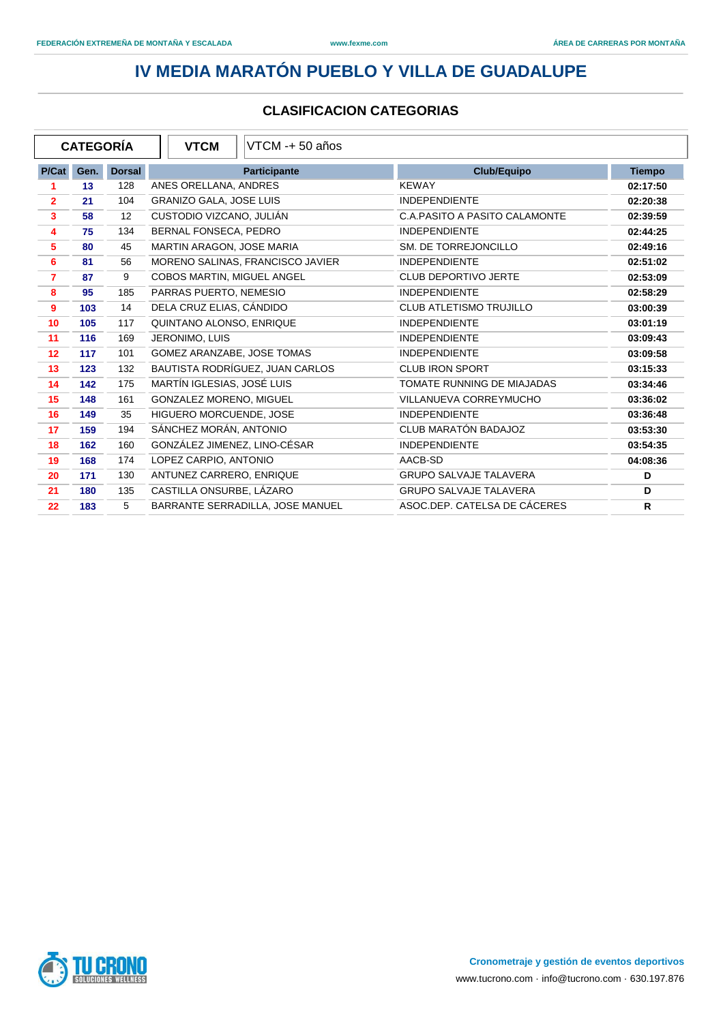|                  | <b>CATEGORÍA</b> |               | <b>VTCM</b><br>VTCM -+ 50 años   |                                      |               |
|------------------|------------------|---------------|----------------------------------|--------------------------------------|---------------|
| P/Cat            | Gen.             | <b>Dorsal</b> | <b>Participante</b>              | Club/Equipo                          | <b>Tiempo</b> |
| 1                | 13               | 128           | ANES ORELLANA, ANDRES            | <b>KEWAY</b>                         | 02:17:50      |
| $\overline{2}$   | 21               | 104           | GRANIZO GALA, JOSE LUIS          | <b>INDEPENDIENTE</b>                 | 02:20:38      |
| 3                | 58               | 12            | CUSTODIO VIZCANO, JULIÁN         | <b>C.A.PASITO A PASITO CALAMONTE</b> | 02:39:59      |
| 4                | 75               | 134           | BERNAL FONSECA, PEDRO            | <b>INDEPENDIENTE</b>                 | 02:44:25      |
| 5                | 80               | 45            | MARTIN ARAGON, JOSE MARIA        | SM. DE TORREJONCILLO                 | 02:49:16      |
| 6                | 81               | 56            | MORENO SALINAS, FRANCISCO JAVIER | <b>INDEPENDIENTE</b>                 | 02:51:02      |
| $\overline{7}$   | 87               | 9             | COBOS MARTIN, MIGUEL ANGEL       | <b>CLUB DEPORTIVO JERTE</b>          | 02:53:09      |
| 8                | 95               | 185           | PARRAS PUERTO, NEMESIO           | <b>INDEPENDIENTE</b>                 | 02:58:29      |
| $\boldsymbol{9}$ | 103              | 14            | DELA CRUZ ELIAS, CÁNDIDO         | <b>CLUB ATLETISMO TRUJILLO</b>       | 03:00:39      |
| 10               | 105              | 117           | QUINTANO ALONSO, ENRIQUE         | <b>INDEPENDIENTE</b>                 | 03:01:19      |
| 11               | 116              | 169           | JERONIMO, LUIS                   | <b>INDEPENDIENTE</b>                 | 03:09:43      |
| 12               | 117              | 101           | GOMEZ ARANZABE, JOSE TOMAS       | <b>INDEPENDIENTE</b>                 | 03:09:58      |
| 13               | 123              | 132           | BAUTISTA RODRÍGUEZ, JUAN CARLOS  | <b>CLUB IRON SPORT</b>               | 03:15:33      |
| 14               | 142              | 175           | MARTÍN IGLESIAS, JOSÉ LUIS       | TOMATE RUNNING DE MIAJADAS           | 03:34:46      |
| 15               | 148              | 161           | GONZALEZ MORENO, MIGUEL          | VILLANUEVA CORREYMUCHO               | 03:36:02      |
| 16               | 149              | 35            | HIGUERO MORCUENDE, JOSE          | <b>INDEPENDIENTE</b>                 | 03:36:48      |
| 17               | 159              | 194           | SÁNCHEZ MORÁN, ANTONIO           | CLUB MARATÓN BADAJOZ                 | 03:53:30      |
| 18               | 162              | 160           | GONZÁLEZ JIMENEZ, LINO-CÉSAR     | <b>INDEPENDIENTE</b>                 | 03:54:35      |
| 19               | 168              | 174           | LOPEZ CARPIO, ANTONIO            | AACB-SD                              | 04:08:36      |
| 20               | 171              | 130           | ANTUNEZ CARRERO, ENRIQUE         | <b>GRUPO SALVAJE TALAVERA</b>        | D             |
| 21               | 180              | 135           | CASTILLA ONSURBE, LÁZARO         | <b>GRUPO SALVAJE TALAVERA</b>        | D             |
| 22               | 183              | 5             | BARRANTE SERRADILLA, JOSE MANUEL | ASOC.DEP. CATELSA DE CÁCERES         | $\mathsf{R}$  |